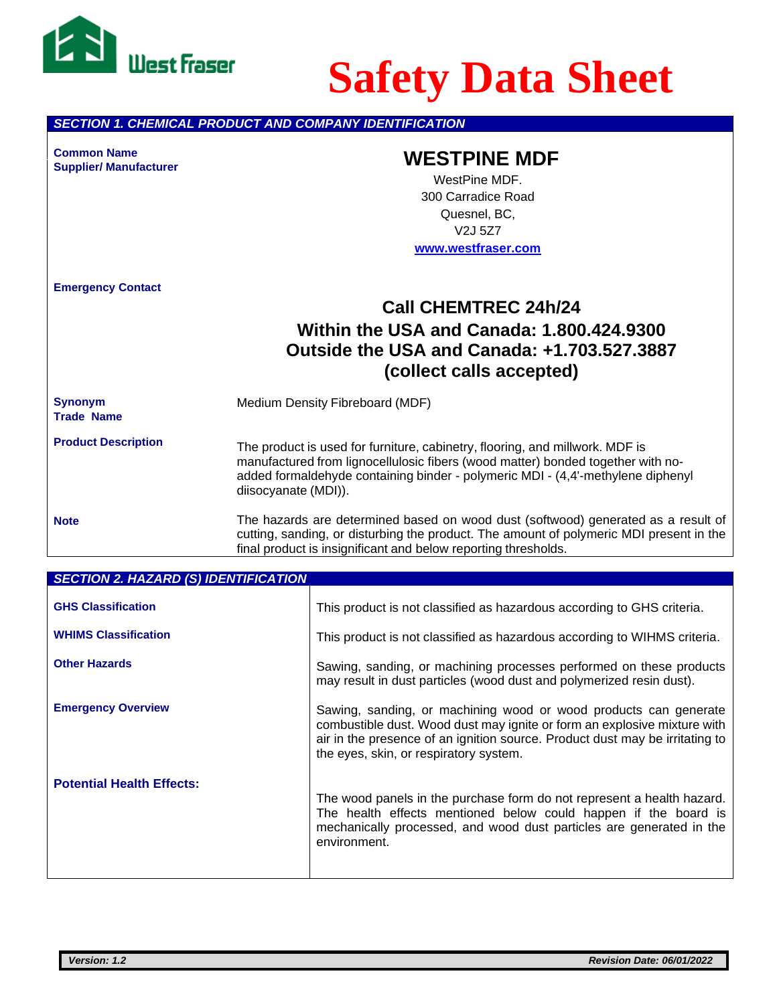

# **Safety Data Sheet**

*SECTION 1. CHEMICAL PRODUCT AND COMPANY IDENTIFICATION*

**Supplier/ Manufacturer**

# **Common Name WESTPINE MDF**

WestPine MDF. 300 Carradice Road Quesnel, BC, V2J 5Z7 **[www.westfraser.com](http://www.westfraser.com/)**

**Emergency Contact**

## **Call CHEMTREC 24h/24 Within the USA and Canada: 1.800.424.9300 Outside the USA and Canada: +1.703.527.3887 (collect calls accepted)**

**Synonym** Medium Density Fibreboard (MDF) **Trade Name**

**Product Description** The product is used for furniture, cabinetry, flooring, and millwork. MDF is manufactured from lignocellulosic fibers (wood matter) bonded together with noadded formaldehyde containing binder - polymeric MDI - (4,4'-methylene diphenyl diisocyanate (MDI)).

**Note**

The hazards are determined based on wood dust (softwood) generated as a result of cutting, sanding, or disturbing the product. The amount of polymeric MDI present in the final product is insignificant and below reporting thresholds.

| <b>SECTION 2. HAZARD (S) IDENTIFICATION</b> |                                                                                                                                                                                                                                                                        |
|---------------------------------------------|------------------------------------------------------------------------------------------------------------------------------------------------------------------------------------------------------------------------------------------------------------------------|
| <b>GHS Classification</b>                   | This product is not classified as hazardous according to GHS criteria.                                                                                                                                                                                                 |
| <b>WHIMS Classification</b>                 | This product is not classified as hazardous according to WIHMS criteria.                                                                                                                                                                                               |
| <b>Other Hazards</b>                        | Sawing, sanding, or machining processes performed on these products<br>may result in dust particles (wood dust and polymerized resin dust).                                                                                                                            |
| <b>Emergency Overview</b>                   | Sawing, sanding, or machining wood or wood products can generate<br>combustible dust. Wood dust may ignite or form an explosive mixture with<br>air in the presence of an ignition source. Product dust may be irritating to<br>the eyes, skin, or respiratory system. |
| <b>Potential Health Effects:</b>            | The wood panels in the purchase form do not represent a health hazard.<br>The health effects mentioned below could happen if the board is<br>mechanically processed, and wood dust particles are generated in the<br>environment.                                      |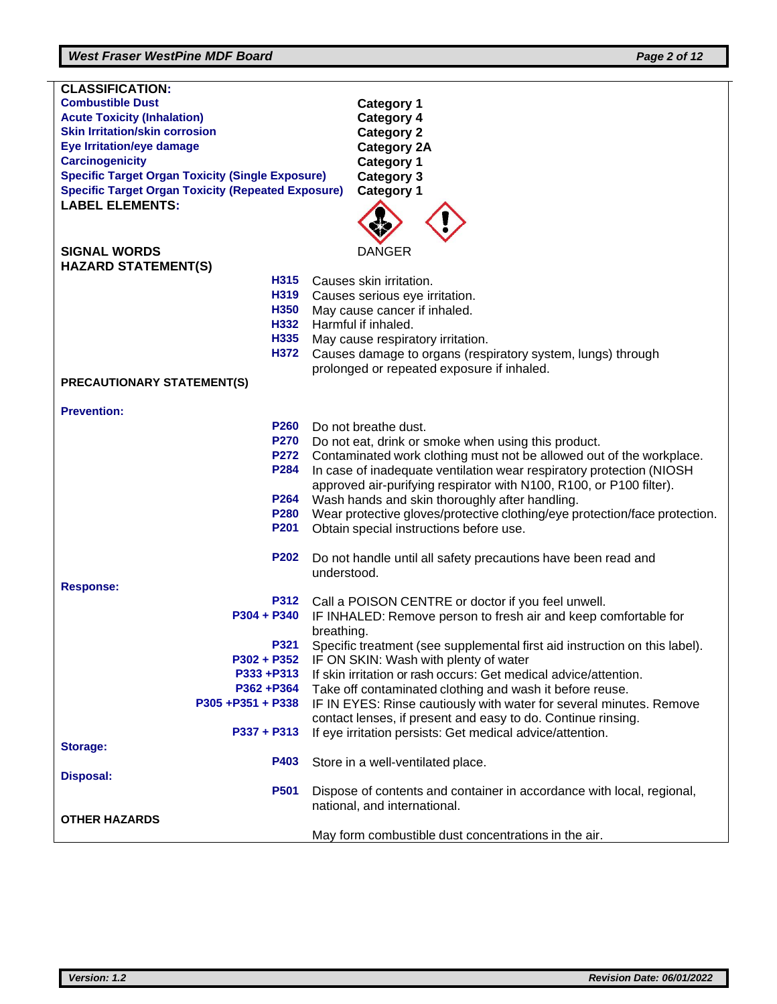### *West Fraser WestPine MDF Board Page 2 of 12*

| <b>CLASSIFICATION:</b>                                    |                                                                                                                           |
|-----------------------------------------------------------|---------------------------------------------------------------------------------------------------------------------------|
| <b>Combustible Dust</b>                                   | <b>Category 1</b>                                                                                                         |
| <b>Acute Toxicity (Inhalation)</b>                        | <b>Category 4</b>                                                                                                         |
| <b>Skin Irritation/skin corrosion</b>                     | <b>Category 2</b>                                                                                                         |
| <b>Eye Irritation/eye damage</b>                          | <b>Category 2A</b>                                                                                                        |
| <b>Carcinogenicity</b>                                    | <b>Category 1</b>                                                                                                         |
| <b>Specific Target Organ Toxicity (Single Exposure)</b>   | <b>Category 3</b>                                                                                                         |
| <b>Specific Target Organ Toxicity (Repeated Exposure)</b> | <b>Category 1</b>                                                                                                         |
| <b>LABEL ELEMENTS:</b>                                    |                                                                                                                           |
|                                                           |                                                                                                                           |
| <b>SIGNAL WORDS</b>                                       | <b>DANGER</b>                                                                                                             |
| <b>HAZARD STATEMENT(S)</b>                                |                                                                                                                           |
| H315                                                      | Causes skin irritation.                                                                                                   |
| H319                                                      | Causes serious eye irritation.                                                                                            |
| H350                                                      | May cause cancer if inhaled.                                                                                              |
| H332                                                      | Harmful if inhaled.                                                                                                       |
| H335                                                      | May cause respiratory irritation.                                                                                         |
| H372                                                      | Causes damage to organs (respiratory system, lungs) through                                                               |
|                                                           | prolonged or repeated exposure if inhaled.                                                                                |
| <b>PRECAUTIONARY STATEMENT(S)</b>                         |                                                                                                                           |
|                                                           |                                                                                                                           |
| <b>Prevention:</b>                                        |                                                                                                                           |
| <b>P260</b>                                               | Do not breathe dust.                                                                                                      |
| <b>P270</b>                                               | Do not eat, drink or smoke when using this product.                                                                       |
| <b>P272</b>                                               | Contaminated work clothing must not be allowed out of the workplace.                                                      |
| P284                                                      | In case of inadequate ventilation wear respiratory protection (NIOSH                                                      |
|                                                           | approved air-purifying respirator with N100, R100, or P100 filter).                                                       |
| P264                                                      | Wash hands and skin thoroughly after handling.                                                                            |
| P <sub>280</sub>                                          | Wear protective gloves/protective clothing/eye protection/face protection.                                                |
| P201                                                      | Obtain special instructions before use.                                                                                   |
|                                                           |                                                                                                                           |
| P202                                                      | Do not handle until all safety precautions have been read and                                                             |
|                                                           | understood.                                                                                                               |
| <b>Response:</b>                                          |                                                                                                                           |
| <b>P312</b>                                               | Call a POISON CENTRE or doctor if you feel unwell.                                                                        |
| $P304 + P340$                                             | IF INHALED: Remove person to fresh air and keep comfortable for                                                           |
|                                                           | breathing.                                                                                                                |
| P321                                                      | Specific treatment (see supplemental first aid instruction on this label).                                                |
| P302 + P352                                               | IF ON SKIN: Wash with plenty of water                                                                                     |
| P333+P313                                                 | If skin irritation or rash occurs: Get medical advice/attention.                                                          |
| P362 +P364<br>P305+P351+P338                              | Take off contaminated clothing and wash it before reuse.                                                                  |
|                                                           | IF IN EYES: Rinse cautiously with water for several minutes. Remove                                                       |
| $P337 + P313$                                             | contact lenses, if present and easy to do. Continue rinsing.<br>If eye irritation persists: Get medical advice/attention. |
| Storage:                                                  |                                                                                                                           |
| <b>P403</b>                                               | Store in a well-ventilated place.                                                                                         |
| <b>Disposal:</b>                                          |                                                                                                                           |
| P501                                                      | Dispose of contents and container in accordance with local, regional,                                                     |
|                                                           | national, and international.                                                                                              |
| <b>OTHER HAZARDS</b>                                      |                                                                                                                           |
|                                                           | May form combustible dust concentrations in the air.                                                                      |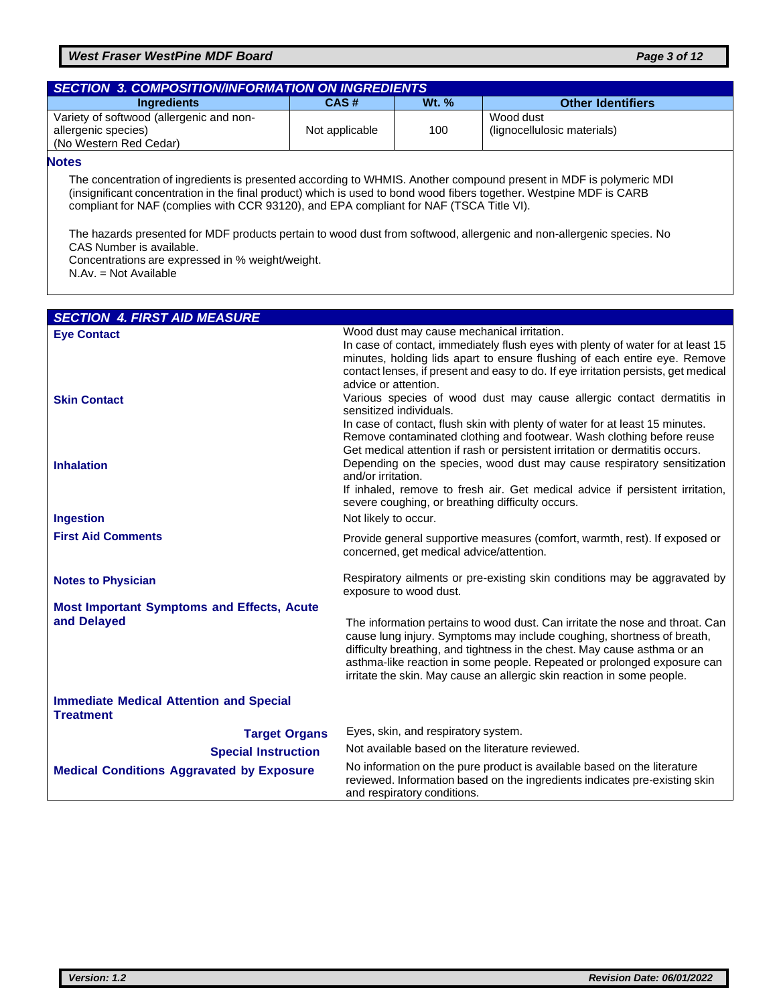#### *West Fraser WestPine MDF Board Page 3 of 12*

| <b>SECTION 3. COMPOSITION/INFORMATION ON INGREDIENTS</b> |                |              |                             |
|----------------------------------------------------------|----------------|--------------|-----------------------------|
| <b>Ingredients</b>                                       | CAS#           | <b>Wt. %</b> | <b>Other Identifiers</b>    |
| Variety of softwood (allergenic and non-                 |                |              | Wood dust                   |
| allergenic species)                                      | Not applicable | 100          | (lignocellulosic materials) |
| (No Western Red Cedar)                                   |                |              |                             |

#### **Notes**

The concentration of ingredients is presented according to WHMIS. Another compound present in MDF is polymeric MDI (insignificant concentration in the final product) which is used to bond wood fibers together. Westpine MDF is CARB compliant for NAF (complies with CCR 93120), and EPA compliant for NAF (TSCA Title VI).

The hazards presented for MDF products pertain to wood dust from softwood, allergenic and non-allergenic species. No CAS Number is available.

Concentrations are expressed in % weight/weight.

N.Av. = Not Available

| <b>SECTION 4. FIRST AID MEASURE</b>                                |                                                                                                                                                                                                                                                                                                                                                                                                                     |
|--------------------------------------------------------------------|---------------------------------------------------------------------------------------------------------------------------------------------------------------------------------------------------------------------------------------------------------------------------------------------------------------------------------------------------------------------------------------------------------------------|
| <b>Eye Contact</b>                                                 | Wood dust may cause mechanical irritation.<br>In case of contact, immediately flush eyes with plenty of water for at least 15<br>minutes, holding lids apart to ensure flushing of each entire eye. Remove<br>contact lenses, if present and easy to do. If eye irritation persists, get medical<br>advice or attention.                                                                                            |
| <b>Skin Contact</b>                                                | Various species of wood dust may cause allergic contact dermatitis in<br>sensitized individuals.<br>In case of contact, flush skin with plenty of water for at least 15 minutes.                                                                                                                                                                                                                                    |
| <b>Inhalation</b><br><b>Ingestion</b>                              | Remove contaminated clothing and footwear. Wash clothing before reuse<br>Get medical attention if rash or persistent irritation or dermatitis occurs.<br>Depending on the species, wood dust may cause respiratory sensitization<br>and/or irritation.<br>If inhaled, remove to fresh air. Get medical advice if persistent irritation,<br>severe coughing, or breathing difficulty occurs.<br>Not likely to occur. |
|                                                                    |                                                                                                                                                                                                                                                                                                                                                                                                                     |
| <b>First Aid Comments</b>                                          | Provide general supportive measures (comfort, warmth, rest). If exposed or<br>concerned, get medical advice/attention.                                                                                                                                                                                                                                                                                              |
| <b>Notes to Physician</b>                                          | Respiratory ailments or pre-existing skin conditions may be aggravated by<br>exposure to wood dust.                                                                                                                                                                                                                                                                                                                 |
| <b>Most Important Symptoms and Effects, Acute</b><br>and Delayed   | The information pertains to wood dust. Can irritate the nose and throat. Can<br>cause lung injury. Symptoms may include coughing, shortness of breath,<br>difficulty breathing, and tightness in the chest. May cause asthma or an<br>asthma-like reaction in some people. Repeated or prolonged exposure can<br>irritate the skin. May cause an allergic skin reaction in some people.                             |
| <b>Immediate Medical Attention and Special</b><br><b>Treatment</b> |                                                                                                                                                                                                                                                                                                                                                                                                                     |
| <b>Target Organs</b>                                               | Eyes, skin, and respiratory system.                                                                                                                                                                                                                                                                                                                                                                                 |
| <b>Special Instruction</b>                                         | Not available based on the literature reviewed.                                                                                                                                                                                                                                                                                                                                                                     |
| <b>Medical Conditions Aggravated by Exposure</b>                   | No information on the pure product is available based on the literature<br>reviewed. Information based on the ingredients indicates pre-existing skin<br>and respiratory conditions.                                                                                                                                                                                                                                |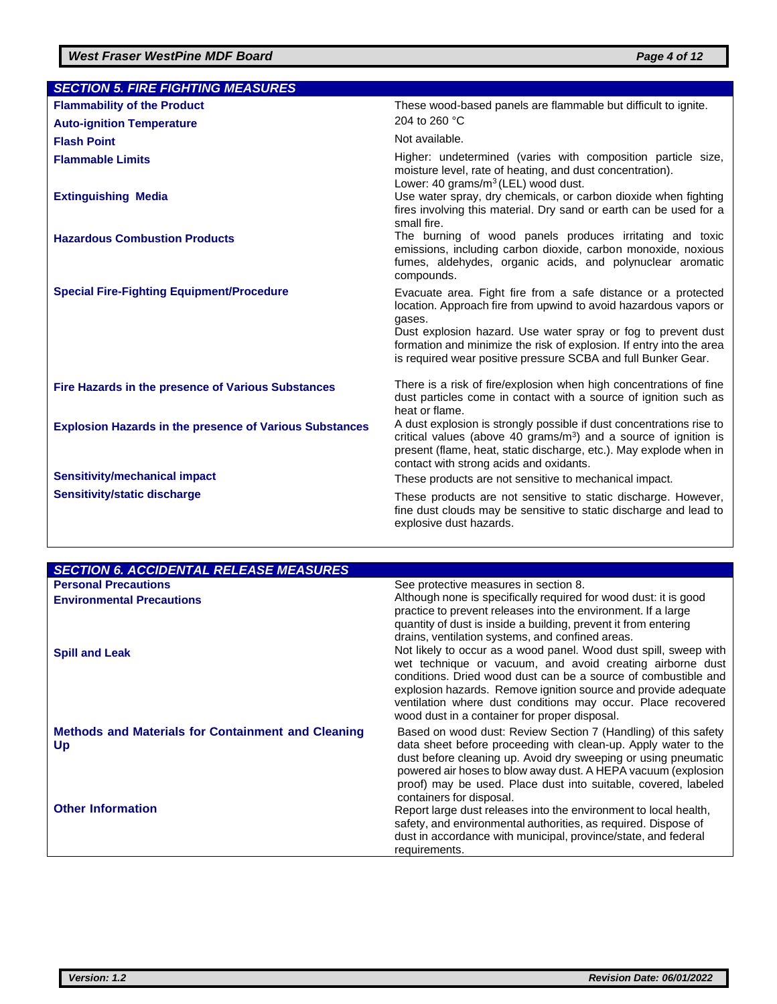| <b>SECTION 5. FIRE FIGHTING MEASURES</b>                       |                                                                                                                                                                                                                                                                                                                                                       |
|----------------------------------------------------------------|-------------------------------------------------------------------------------------------------------------------------------------------------------------------------------------------------------------------------------------------------------------------------------------------------------------------------------------------------------|
| <b>Flammability of the Product</b>                             | These wood-based panels are flammable but difficult to ignite.                                                                                                                                                                                                                                                                                        |
| <b>Auto-ignition Temperature</b>                               | 204 to 260 °C                                                                                                                                                                                                                                                                                                                                         |
| <b>Flash Point</b>                                             | Not available.                                                                                                                                                                                                                                                                                                                                        |
| <b>Flammable Limits</b>                                        | Higher: undetermined (varies with composition particle size,<br>moisture level, rate of heating, and dust concentration).                                                                                                                                                                                                                             |
| <b>Extinguishing Media</b>                                     | Lower: 40 grams/ $m^3$ (LEL) wood dust.<br>Use water spray, dry chemicals, or carbon dioxide when fighting<br>fires involving this material. Dry sand or earth can be used for a<br>small fire.                                                                                                                                                       |
| <b>Hazardous Combustion Products</b>                           | The burning of wood panels produces irritating and toxic<br>emissions, including carbon dioxide, carbon monoxide, noxious<br>fumes, aldehydes, organic acids, and polynuclear aromatic<br>compounds.                                                                                                                                                  |
| <b>Special Fire-Fighting Equipment/Procedure</b>               | Evacuate area. Fight fire from a safe distance or a protected<br>location. Approach fire from upwind to avoid hazardous vapors or<br>gases.<br>Dust explosion hazard. Use water spray or fog to prevent dust<br>formation and minimize the risk of explosion. If entry into the area<br>is required wear positive pressure SCBA and full Bunker Gear. |
| Fire Hazards in the presence of Various Substances             | There is a risk of fire/explosion when high concentrations of fine<br>dust particles come in contact with a source of ignition such as<br>heat or flame.                                                                                                                                                                                              |
| <b>Explosion Hazards in the presence of Various Substances</b> | A dust explosion is strongly possible if dust concentrations rise to<br>critical values (above 40 grams/ $m3$ ) and a source of ignition is<br>present (flame, heat, static discharge, etc.). May explode when in<br>contact with strong acids and oxidants.                                                                                          |
| <b>Sensitivity/mechanical impact</b>                           | These products are not sensitive to mechanical impact.                                                                                                                                                                                                                                                                                                |
| Sensitivity/static discharge                                   | These products are not sensitive to static discharge. However,<br>fine dust clouds may be sensitive to static discharge and lead to<br>explosive dust hazards.                                                                                                                                                                                        |

| <b>SECTION 6. ACCIDENTAL RELEASE MEASURES</b>                   |                                                                                                                                                                                                                                                                                                                                                                                    |
|-----------------------------------------------------------------|------------------------------------------------------------------------------------------------------------------------------------------------------------------------------------------------------------------------------------------------------------------------------------------------------------------------------------------------------------------------------------|
| <b>Personal Precautions</b>                                     | See protective measures in section 8.                                                                                                                                                                                                                                                                                                                                              |
| <b>Environmental Precautions</b>                                | Although none is specifically required for wood dust: it is good<br>practice to prevent releases into the environment. If a large                                                                                                                                                                                                                                                  |
|                                                                 | quantity of dust is inside a building, prevent it from entering<br>drains, ventilation systems, and confined areas.                                                                                                                                                                                                                                                                |
| <b>Spill and Leak</b>                                           | Not likely to occur as a wood panel. Wood dust spill, sweep with<br>wet technique or vacuum, and avoid creating airborne dust<br>conditions. Dried wood dust can be a source of combustible and<br>explosion hazards. Remove ignition source and provide adequate<br>ventilation where dust conditions may occur. Place recovered<br>wood dust in a container for proper disposal. |
| <b>Methods and Materials for Containment and Cleaning</b><br>Up | Based on wood dust: Review Section 7 (Handling) of this safety<br>data sheet before proceeding with clean-up. Apply water to the<br>dust before cleaning up. Avoid dry sweeping or using pneumatic<br>powered air hoses to blow away dust. A HEPA vacuum (explosion                                                                                                                |
|                                                                 | proof) may be used. Place dust into suitable, covered, labeled<br>containers for disposal.                                                                                                                                                                                                                                                                                         |
| <b>Other Information</b>                                        | Report large dust releases into the environment to local health,<br>safety, and environmental authorities, as required. Dispose of<br>dust in accordance with municipal, province/state, and federal<br>requirements.                                                                                                                                                              |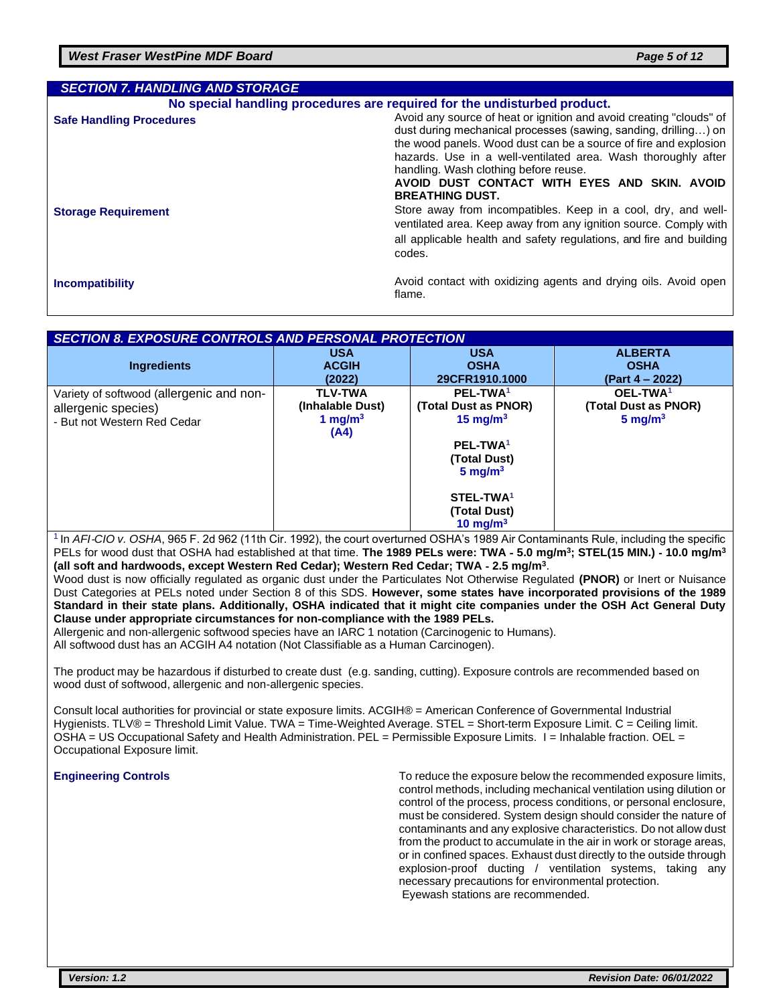| <b>SECTION 7. HANDLING AND STORAGE</b> |                                                                                                                                                                                                                                                                                                                                                                                                |
|----------------------------------------|------------------------------------------------------------------------------------------------------------------------------------------------------------------------------------------------------------------------------------------------------------------------------------------------------------------------------------------------------------------------------------------------|
|                                        | No special handling procedures are required for the undisturbed product.                                                                                                                                                                                                                                                                                                                       |
| <b>Safe Handling Procedures</b>        | Avoid any source of heat or ignition and avoid creating "clouds" of<br>dust during mechanical processes (sawing, sanding, drilling) on<br>the wood panels. Wood dust can be a source of fire and explosion<br>hazards. Use in a well-ventilated area. Wash thoroughly after<br>handling. Wash clothing before reuse.<br>AVOID DUST CONTACT WITH EYES AND SKIN. AVOID<br><b>BREATHING DUST.</b> |
| <b>Storage Requirement</b>             | Store away from incompatibles. Keep in a cool, dry, and well-<br>ventilated area. Keep away from any ignition source. Comply with<br>all applicable health and safety regulations, and fire and building<br>codes.                                                                                                                                                                             |
| <b>Incompatibility</b>                 | Avoid contact with oxidizing agents and drying oils. Avoid open<br>flame.                                                                                                                                                                                                                                                                                                                      |

#### *SECTION 8. EXPOSURE CONTROLS AND PERSONAL PROTECTION*

|                                          | <b>USA</b>       | <b>USA</b>            | <b>ALBERTA</b>       |
|------------------------------------------|------------------|-----------------------|----------------------|
| <b>Ingredients</b>                       | <b>ACGIH</b>     | <b>OSHA</b>           | <b>OSHA</b>          |
|                                          | (2022)           | 29CFR1910.1000        | (Part 4 – 2022)      |
| Variety of softwood (allergenic and non- | <b>TLV-TWA</b>   | PEL-TWA <sup>1</sup>  | OEL-TWA <sup>1</sup> |
| allergenic species)                      | (Inhalable Dust) | (Total Dust as PNOR)  | (Total Dust as PNOR) |
| - But not Western Red Cedar              | 1 mg/m $3$       | 15 mg/m $3$           | $5 \text{ mg/m}^3$   |
|                                          | (A4)             |                       |                      |
|                                          |                  | PEL-TWA <sup>1</sup>  |                      |
|                                          |                  | (Total Dust)          |                      |
|                                          |                  | $5 \text{ mg/m}^3$    |                      |
|                                          |                  |                       |                      |
|                                          |                  | STEL-TWA <sup>1</sup> |                      |
|                                          |                  | (Total Dust)          |                      |
|                                          |                  | 10 mg/m $3$           |                      |

1 In *AFI*‐*CIO v. OSHA*, 965 F. 2d 962 (11th Cir. 1992), the court overturned OSHA's 1989 Air Contaminants Rule, including the specific PELs for wood dust that OSHA had established at that time. **The 1989 PELs were: TWA** ‐ **5.0 mg/m<sup>3</sup> ; STEL(15 MIN.)** ‐ **10.0 mg/m<sup>3</sup> (all soft and hardwoods, except Western Red Cedar); Western Red Cedar; TWA** ‐ **2.5 mg/m<sup>3</sup>** .

Wood dust is now officially regulated as organic dust under the Particulates Not Otherwise Regulated **(PNOR)** or Inert or Nuisance Dust Categories at PELs noted under Section 8 of this SDS. **However, some states have incorporated provisions of the 1989 Standard in their state plans. Additionally, OSHA indicated that it might cite companies under the OSH Act General Duty Clause under appropriate circumstances for non**‐**compliance with the 1989 PELs.**

Allergenic and non-allergenic softwood species have an IARC 1 notation (Carcinogenic to Humans).

All softwood dust has an ACGIH A4 notation (Not Classifiable as a Human Carcinogen).

The product may be hazardous if disturbed to create dust (e.g. sanding, cutting). Exposure controls are recommended based on wood dust of softwood, allergenic and non-allergenic species.

Consult local authorities for provincial or state exposure limits. ACGIH® = American Conference of Governmental Industrial Hygienists. TLV® = Threshold Limit Value. TWA = Time-Weighted Average. STEL = Short-term Exposure Limit. C = Ceiling limit. OSHA = US Occupational Safety and Health Administration. PEL = Permissible Exposure Limits. I = Inhalable fraction. OEL = Occupational Exposure limit.

**Engineering Controls** To reduce the exposure below the recommended exposure limits, control methods, including mechanical ventilation using dilution or control of the process, process conditions, or personal enclosure, must be considered. System design should consider the nature of contaminants and any explosive characteristics. Do not allow dust from the product to accumulate in the air in work or storage areas, or in confined spaces. Exhaust dust directly to the outside through explosion-proof ducting / ventilation systems, taking any necessary precautions for environmental protection. Eyewash stations are recommended.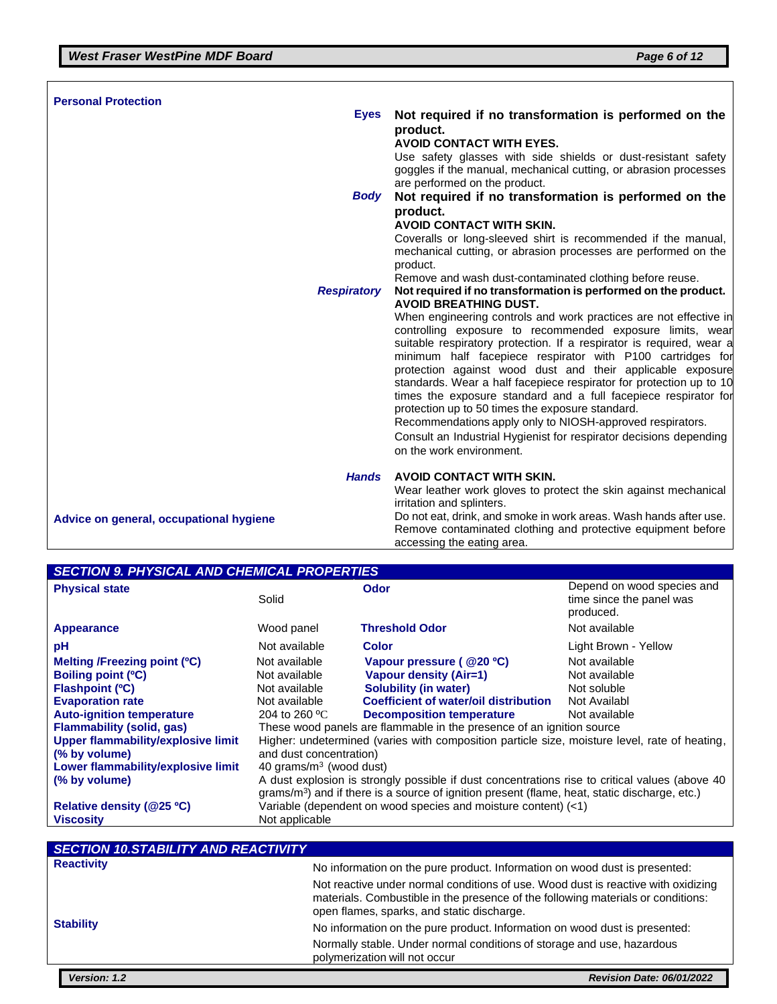| <b>Personal Protection</b>              |                                                                                                                                                                                                                                                                                                                                                                                                                                                                                                                                                                                                                            |
|-----------------------------------------|----------------------------------------------------------------------------------------------------------------------------------------------------------------------------------------------------------------------------------------------------------------------------------------------------------------------------------------------------------------------------------------------------------------------------------------------------------------------------------------------------------------------------------------------------------------------------------------------------------------------------|
| <b>Eyes</b>                             | Not required if no transformation is performed on the<br>product.<br><b>AVOID CONTACT WITH EYES.</b><br>Use safety glasses with side shields or dust-resistant safety<br>goggles if the manual, mechanical cutting, or abrasion processes<br>are performed on the product.                                                                                                                                                                                                                                                                                                                                                 |
| Body                                    | Not required if no transformation is performed on the                                                                                                                                                                                                                                                                                                                                                                                                                                                                                                                                                                      |
|                                         | product.                                                                                                                                                                                                                                                                                                                                                                                                                                                                                                                                                                                                                   |
|                                         | <b>AVOID CONTACT WITH SKIN.</b>                                                                                                                                                                                                                                                                                                                                                                                                                                                                                                                                                                                            |
|                                         | Coveralls or long-sleeved shirt is recommended if the manual,<br>mechanical cutting, or abrasion processes are performed on the<br>product.                                                                                                                                                                                                                                                                                                                                                                                                                                                                                |
|                                         | Remove and wash dust-contaminated clothing before reuse.                                                                                                                                                                                                                                                                                                                                                                                                                                                                                                                                                                   |
| <b>Respiratory</b>                      | Not required if no transformation is performed on the product.<br><b>AVOID BREATHING DUST.</b>                                                                                                                                                                                                                                                                                                                                                                                                                                                                                                                             |
|                                         | When engineering controls and work practices are not effective in                                                                                                                                                                                                                                                                                                                                                                                                                                                                                                                                                          |
|                                         | controlling exposure to recommended exposure limits, wear<br>suitable respiratory protection. If a respirator is required, wear a<br>minimum half facepiece respirator with P100 cartridges for<br>protection against wood dust and their applicable exposure<br>standards. Wear a half facepiece respirator for protection up to 10<br>times the exposure standard and a full facepiece respirator for<br>protection up to 50 times the exposure standard.<br>Recommendations apply only to NIOSH-approved respirators.<br>Consult an Industrial Hygienist for respirator decisions depending<br>on the work environment. |
| <b>Hands</b>                            | <b>AVOID CONTACT WITH SKIN.</b>                                                                                                                                                                                                                                                                                                                                                                                                                                                                                                                                                                                            |
|                                         | Wear leather work gloves to protect the skin against mechanical                                                                                                                                                                                                                                                                                                                                                                                                                                                                                                                                                            |
|                                         | irritation and splinters.                                                                                                                                                                                                                                                                                                                                                                                                                                                                                                                                                                                                  |
| Advice on general, occupational hygiene | Do not eat, drink, and smoke in work areas. Wash hands after use.                                                                                                                                                                                                                                                                                                                                                                                                                                                                                                                                                          |
|                                         | Remove contaminated clothing and protective equipment before<br>accessing the eating area.                                                                                                                                                                                                                                                                                                                                                                                                                                                                                                                                 |
|                                         |                                                                                                                                                                                                                                                                                                                                                                                                                                                                                                                                                                                                                            |

#### *SECTION 9. PHYSICAL AND CHEMICAL PROPERTIES*

| <b>Physical state</b>              | Solid                                                                                                                                                                                             | Odor                                                                                          | Depend on wood species and<br>time since the panel was<br>produced. |
|------------------------------------|---------------------------------------------------------------------------------------------------------------------------------------------------------------------------------------------------|-----------------------------------------------------------------------------------------------|---------------------------------------------------------------------|
| Appearance                         | Wood panel                                                                                                                                                                                        | Threshold Odor                                                                                | Not available                                                       |
| рH                                 | Not available                                                                                                                                                                                     | Color                                                                                         | Light Brown - Yellow                                                |
| Melting /Freezing point (°C)       | Not available                                                                                                                                                                                     | Vapour pressure ( @20 °C)                                                                     | Not available                                                       |
| Boiling point (°C)                 | Not available                                                                                                                                                                                     | Vapour density (Air=1)                                                                        | Not available                                                       |
| <b>Flashpoint (°C)</b>             | Not available                                                                                                                                                                                     | <b>Solubility (in water)</b>                                                                  | Not soluble                                                         |
| <b>Evaporation rate</b>            | Not available                                                                                                                                                                                     | <b>Coefficient of water/oil distribution</b>                                                  | Not Availabl                                                        |
| <b>Auto-ignition temperature</b>   | 204 to 260 $^{\circ}$ C                                                                                                                                                                           | <b>Decomposition temperature</b>                                                              | Not available                                                       |
| <b>Flammability (solid, gas)</b>   |                                                                                                                                                                                                   | These wood panels are flammable in the presence of an ignition source                         |                                                                     |
| Upper flammability/explosive limit |                                                                                                                                                                                                   | Higher: undetermined (varies with composition particle size, moisture level, rate of heating, |                                                                     |
| (% by volume)                      | and dust concentration)                                                                                                                                                                           |                                                                                               |                                                                     |
| Lower flammability/explosive limit | 40 grams/ $m3$ (wood dust)                                                                                                                                                                        |                                                                                               |                                                                     |
| (% by volume)                      | A dust explosion is strongly possible if dust concentrations rise to critical values (above 40<br>$grams/m3$ ) and if there is a source of ignition present (flame, heat, static discharge, etc.) |                                                                                               |                                                                     |
| Relative density (@25 °C)          | Variable (dependent on wood species and moisture content) (<1)                                                                                                                                    |                                                                                               |                                                                     |
| <b>Viscosity</b>                   | Not applicable                                                                                                                                                                                    |                                                                                               |                                                                     |

| <b>SECTION 10.STABILITY AND REACTIVITY</b> |                                                                                                                                                                                                                     |
|--------------------------------------------|---------------------------------------------------------------------------------------------------------------------------------------------------------------------------------------------------------------------|
| <b>Reactivity</b>                          | No information on the pure product. Information on wood dust is presented:                                                                                                                                          |
|                                            | Not reactive under normal conditions of use. Wood dust is reactive with oxidizing<br>materials. Combustible in the presence of the following materials or conditions:<br>open flames, sparks, and static discharge. |
| <b>Stability</b>                           | No information on the pure product. Information on wood dust is presented:                                                                                                                                          |
|                                            | Normally stable. Under normal conditions of storage and use, hazardous<br>polymerization will not occur                                                                                                             |
| <b>Version: 1.2</b>                        | <b>Revision Date: 06/01/2022</b>                                                                                                                                                                                    |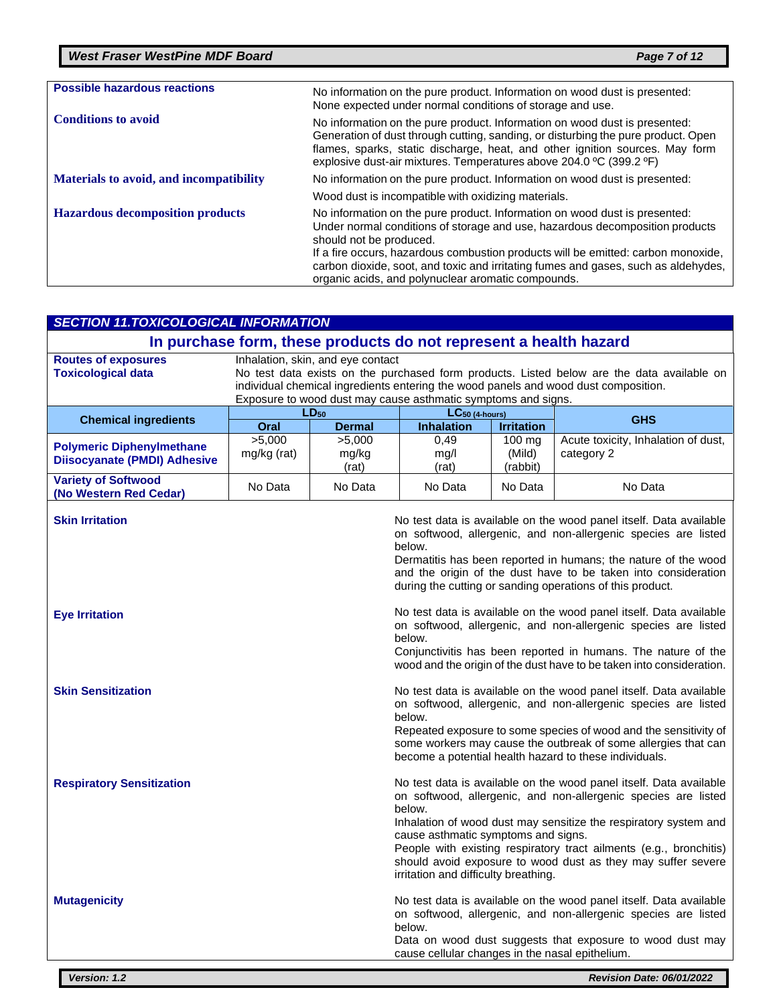| <b>Possible hazardous reactions</b>     | No information on the pure product. Information on wood dust is presented:<br>None expected under normal conditions of storage and use.                                                                                                                                                                                                                                                                                |
|-----------------------------------------|------------------------------------------------------------------------------------------------------------------------------------------------------------------------------------------------------------------------------------------------------------------------------------------------------------------------------------------------------------------------------------------------------------------------|
| <b>Conditions to avoid</b>              | No information on the pure product. Information on wood dust is presented:<br>Generation of dust through cutting, sanding, or disturbing the pure product. Open<br>flames, sparks, static discharge, heat, and other ignition sources. May form<br>explosive dust-air mixtures. Temperatures above 204.0 °C (399.2 °F)                                                                                                 |
| Materials to avoid, and incompatibility | No information on the pure product. Information on wood dust is presented:                                                                                                                                                                                                                                                                                                                                             |
|                                         | Wood dust is incompatible with oxidizing materials.                                                                                                                                                                                                                                                                                                                                                                    |
| <b>Hazardous decomposition products</b> | No information on the pure product. Information on wood dust is presented:<br>Under normal conditions of storage and use, hazardous decomposition products<br>should not be produced.<br>If a fire occurs, hazardous combustion products will be emitted: carbon monoxide,<br>carbon dioxide, soot, and toxic and irritating fumes and gases, such as aldehydes,<br>organic acids, and polynuclear aromatic compounds. |

| <b>SECTION 11.TOXICOLOGICAL INFORMATION</b>                             |                                                                                                                                                                                                                                                                                         |                            |                                                                                                                                                                                                                                                                                                                                                                                                                                         |                              |                                                                                                                                                                                                                                                                                                                                       |
|-------------------------------------------------------------------------|-----------------------------------------------------------------------------------------------------------------------------------------------------------------------------------------------------------------------------------------------------------------------------------------|----------------------------|-----------------------------------------------------------------------------------------------------------------------------------------------------------------------------------------------------------------------------------------------------------------------------------------------------------------------------------------------------------------------------------------------------------------------------------------|------------------------------|---------------------------------------------------------------------------------------------------------------------------------------------------------------------------------------------------------------------------------------------------------------------------------------------------------------------------------------|
| In purchase form, these products do not represent a health hazard       |                                                                                                                                                                                                                                                                                         |                            |                                                                                                                                                                                                                                                                                                                                                                                                                                         |                              |                                                                                                                                                                                                                                                                                                                                       |
| <b>Routes of exposures</b><br><b>Toxicological data</b>                 | Inhalation, skin, and eye contact<br>No test data exists on the purchased form products. Listed below are the data available on<br>individual chemical ingredients entering the wood panels and wood dust composition.<br>Exposure to wood dust may cause asthmatic symptoms and signs. |                            |                                                                                                                                                                                                                                                                                                                                                                                                                                         |                              |                                                                                                                                                                                                                                                                                                                                       |
| <b>Chemical ingredients</b>                                             | Oral                                                                                                                                                                                                                                                                                    | $LD_{50}$<br><b>Dermal</b> | $LC_{50}$ (4-hours)<br><b>Inhalation</b>                                                                                                                                                                                                                                                                                                                                                                                                | <b>Irritation</b>            | <b>GHS</b>                                                                                                                                                                                                                                                                                                                            |
| <b>Polymeric Diphenylmethane</b><br><b>Diisocyanate (PMDI) Adhesive</b> | >5,000<br>mg/kg (rat)                                                                                                                                                                                                                                                                   | >5,000<br>mg/kg<br>(rat)   | 0,49<br>mg/l<br>(rat)                                                                                                                                                                                                                                                                                                                                                                                                                   | 100 mg<br>(Mild)<br>(rabbit) | Acute toxicity, Inhalation of dust,<br>category 2                                                                                                                                                                                                                                                                                     |
| <b>Variety of Softwood</b><br>(No Western Red Cedar)                    | No Data                                                                                                                                                                                                                                                                                 | No Data                    | No Data                                                                                                                                                                                                                                                                                                                                                                                                                                 | No Data                      | No Data                                                                                                                                                                                                                                                                                                                               |
| <b>Skin Irritation</b>                                                  |                                                                                                                                                                                                                                                                                         |                            | below.                                                                                                                                                                                                                                                                                                                                                                                                                                  |                              | No test data is available on the wood panel itself. Data available<br>on softwood, allergenic, and non-allergenic species are listed<br>Dermatitis has been reported in humans; the nature of the wood<br>and the origin of the dust have to be taken into consideration<br>during the cutting or sanding operations of this product. |
| <b>Eye Irritation</b>                                                   |                                                                                                                                                                                                                                                                                         |                            | below.                                                                                                                                                                                                                                                                                                                                                                                                                                  |                              | No test data is available on the wood panel itself. Data available<br>on softwood, allergenic, and non-allergenic species are listed<br>Conjunctivitis has been reported in humans. The nature of the<br>wood and the origin of the dust have to be taken into consideration.                                                         |
| <b>Skin Sensitization</b>                                               |                                                                                                                                                                                                                                                                                         |                            | No test data is available on the wood panel itself. Data available<br>on softwood, allergenic, and non-allergenic species are listed<br>below.<br>Repeated exposure to some species of wood and the sensitivity of<br>some workers may cause the outbreak of some allergies that can<br>become a potential health hazard to these individuals.                                                                                          |                              |                                                                                                                                                                                                                                                                                                                                       |
| <b>Respiratory Sensitization</b>                                        |                                                                                                                                                                                                                                                                                         |                            | No test data is available on the wood panel itself. Data available<br>on softwood, allergenic, and non-allergenic species are listed<br>below.<br>Inhalation of wood dust may sensitize the respiratory system and<br>cause asthmatic symptoms and signs.<br>People with existing respiratory tract ailments (e.g., bronchitis)<br>should avoid exposure to wood dust as they may suffer severe<br>irritation and difficulty breathing. |                              |                                                                                                                                                                                                                                                                                                                                       |
| <b>Mutagenicity</b>                                                     |                                                                                                                                                                                                                                                                                         |                            | below.<br>cause cellular changes in the nasal epithelium.                                                                                                                                                                                                                                                                                                                                                                               |                              | No test data is available on the wood panel itself. Data available<br>on softwood, allergenic, and non-allergenic species are listed<br>Data on wood dust suggests that exposure to wood dust may                                                                                                                                     |
| Version: 1.2                                                            |                                                                                                                                                                                                                                                                                         |                            |                                                                                                                                                                                                                                                                                                                                                                                                                                         |                              | <b>Revision Date: 06/01/2022</b>                                                                                                                                                                                                                                                                                                      |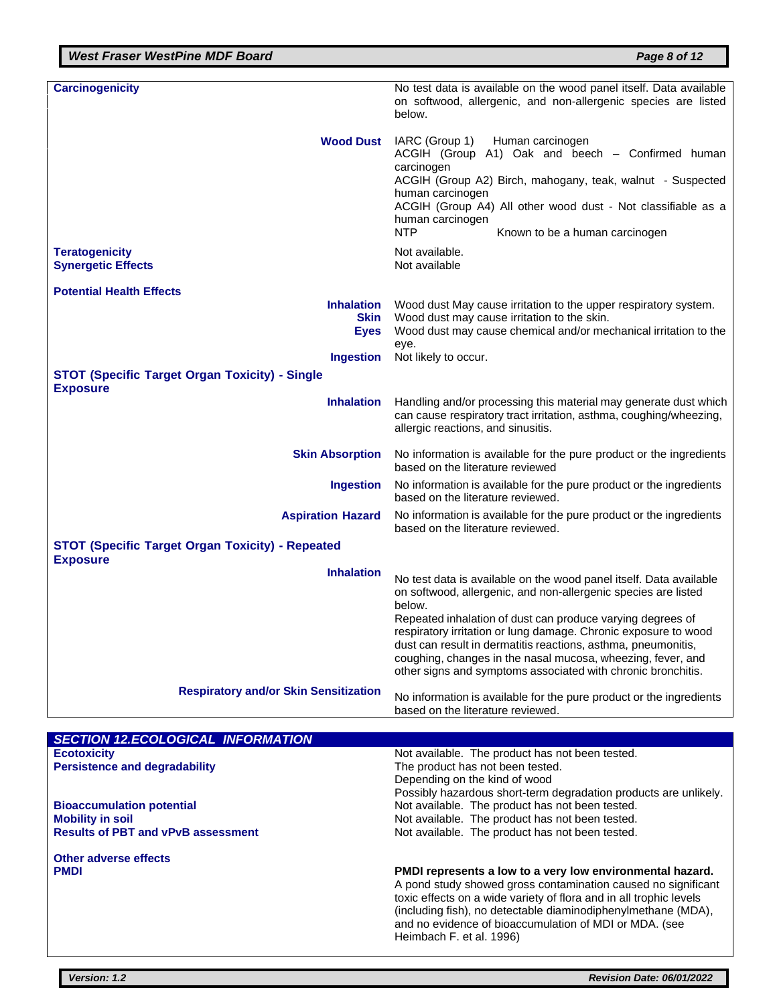| <b>Carcinogenicity</b>                                                     | No test data is available on the wood panel itself. Data available                                                                                                                                                                                                                                                         |
|----------------------------------------------------------------------------|----------------------------------------------------------------------------------------------------------------------------------------------------------------------------------------------------------------------------------------------------------------------------------------------------------------------------|
|                                                                            | on softwood, allergenic, and non-allergenic species are listed<br>helow.                                                                                                                                                                                                                                                   |
| <b>Wood Dust</b>                                                           | IARC (Group 1)<br>Human carcinogen<br>ACGIH (Group A1) Oak and beech - Confirmed human<br>carcinogen<br>ACGIH (Group A2) Birch, mahogany, teak, walnut - Suspected<br>human carcinogen<br>ACGIH (Group A4) All other wood dust - Not classifiable as a<br>human carcinogen<br><b>NTP</b><br>Known to be a human carcinogen |
| <b>Teratogenicity</b><br><b>Synergetic Effects</b>                         | Not available.<br>Not available                                                                                                                                                                                                                                                                                            |
| <b>Potential Health Effects</b>                                            |                                                                                                                                                                                                                                                                                                                            |
| <b>Inhalation</b><br><b>Skin</b><br><b>Eyes</b>                            | Wood dust May cause irritation to the upper respiratory system.<br>Wood dust may cause irritation to the skin.<br>Wood dust may cause chemical and/or mechanical irritation to the<br>eye.                                                                                                                                 |
| <b>Ingestion</b>                                                           | Not likely to occur.                                                                                                                                                                                                                                                                                                       |
| <b>STOT (Specific Target Organ Toxicity) - Single</b>                      |                                                                                                                                                                                                                                                                                                                            |
| <b>Exposure</b>                                                            |                                                                                                                                                                                                                                                                                                                            |
| <b>Inhalation</b>                                                          | Handling and/or processing this material may generate dust which<br>can cause respiratory tract irritation, asthma, coughing/wheezing,<br>allergic reactions, and sinusitis.                                                                                                                                               |
| <b>Skin Absorption</b>                                                     | No information is available for the pure product or the ingredients<br>based on the literature reviewed                                                                                                                                                                                                                    |
| <b>Ingestion</b>                                                           | No information is available for the pure product or the ingredients<br>based on the literature reviewed.                                                                                                                                                                                                                   |
| <b>Aspiration Hazard</b>                                                   | No information is available for the pure product or the ingredients<br>based on the literature reviewed.                                                                                                                                                                                                                   |
| <b>STOT (Specific Target Organ Toxicity) - Repeated</b><br><b>Exposure</b> |                                                                                                                                                                                                                                                                                                                            |
| <b>Inhalation</b>                                                          |                                                                                                                                                                                                                                                                                                                            |
|                                                                            | No test data is available on the wood panel itself. Data available<br>on softwood, allergenic, and non-allergenic species are listed<br>below.                                                                                                                                                                             |
|                                                                            | Repeated inhalation of dust can produce varying degrees of                                                                                                                                                                                                                                                                 |
|                                                                            | respiratory irritation or lung damage. Chronic exposure to wood<br>dust can result in dermatitis reactions, asthma, pneumonitis,                                                                                                                                                                                           |
|                                                                            | coughing, changes in the nasal mucosa, wheezing, fever, and                                                                                                                                                                                                                                                                |
|                                                                            | other signs and symptoms associated with chronic bronchitis.                                                                                                                                                                                                                                                               |
| <b>Respiratory and/or Skin Sensitization</b>                               | No information is available for the pure product or the ingredients<br>based on the literature reviewed.                                                                                                                                                                                                                   |

| <b>SECTION 12.ECOLOGICAL INFORMATION</b>  |                                                                                                                                                                                                                                                                                                                                                         |
|-------------------------------------------|---------------------------------------------------------------------------------------------------------------------------------------------------------------------------------------------------------------------------------------------------------------------------------------------------------------------------------------------------------|
| <b>Ecotoxicity</b>                        | Not available. The product has not been tested.                                                                                                                                                                                                                                                                                                         |
| <b>Persistence and degradability</b>      | The product has not been tested.                                                                                                                                                                                                                                                                                                                        |
|                                           | Depending on the kind of wood                                                                                                                                                                                                                                                                                                                           |
|                                           | Possibly hazardous short-term degradation products are unlikely.                                                                                                                                                                                                                                                                                        |
| <b>Bioaccumulation potential</b>          | Not available. The product has not been tested.                                                                                                                                                                                                                                                                                                         |
| <b>Mobility in soil</b>                   | Not available. The product has not been tested.                                                                                                                                                                                                                                                                                                         |
| <b>Results of PBT and vPvB assessment</b> | Not available. The product has not been tested.                                                                                                                                                                                                                                                                                                         |
| Other adverse effects                     |                                                                                                                                                                                                                                                                                                                                                         |
| <b>PMDI</b>                               | PMDI represents a low to a very low environmental hazard.<br>A pond study showed gross contamination caused no significant<br>toxic effects on a wide variety of flora and in all trophic levels<br>(including fish), no detectable diaminodiphenylmethane (MDA),<br>and no evidence of bioaccumulation of MDI or MDA. (see<br>Heimbach F. et al. 1996) |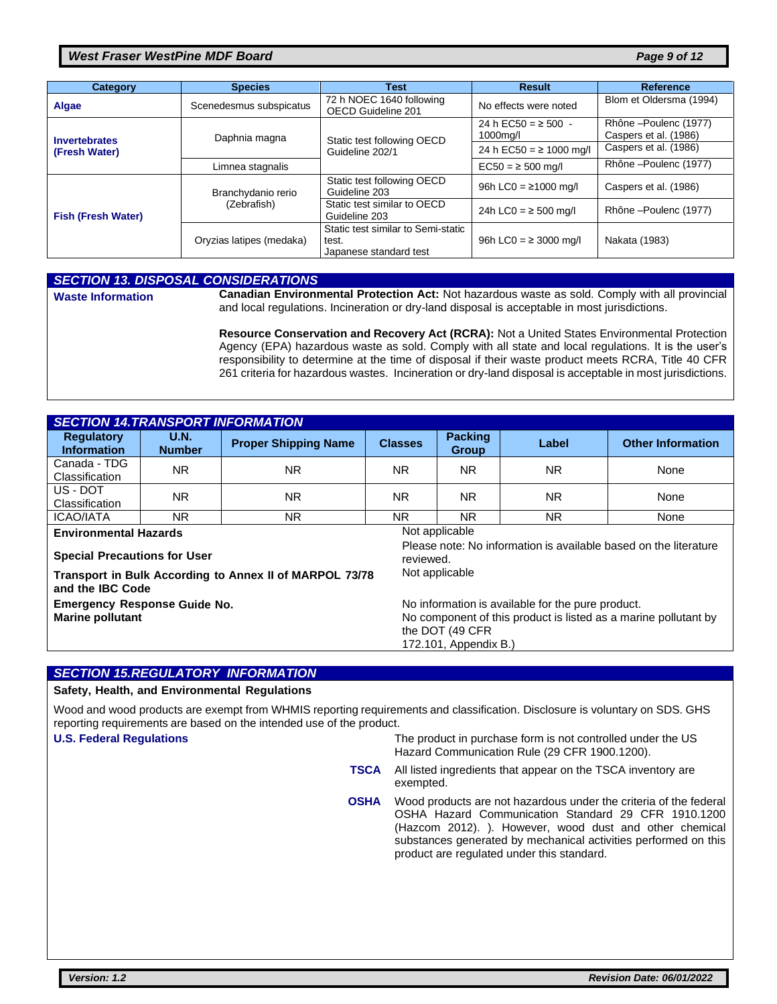#### *West Fraser WestPine MDF Board Page 9 of 12*

| Category                  | <b>Species</b>           | Test                                                                  | <b>Result</b>                          | Reference                                     |
|---------------------------|--------------------------|-----------------------------------------------------------------------|----------------------------------------|-----------------------------------------------|
| Algae                     | Scenedesmus subspicatus  | 72 h NOEC 1640 following<br>OECD Guideline 201                        | No effects were noted                  | Blom et Oldersma (1994)                       |
| <b>Invertebrates</b>      | Daphnia magna            | Static test following OECD                                            | 24 h EC50 = $\ge$ 500 -<br>$1000$ mg/l | Rhône-Poulenc (1977)<br>Caspers et al. (1986) |
| (Fresh Water)             |                          | Guideline 202/1                                                       | 24 h EC50 = $\ge$ 1000 mg/l            | Caspers et al. (1986)                         |
|                           | Limnea stagnalis         |                                                                       | $EC50 = 500$ mg/l                      | Rhône-Poulenc (1977)                          |
| <b>Fish (Fresh Water)</b> | Branchydanio rerio       | Static test following OECD<br>Guideline 203                           | 96h LC0 = $\geq$ 1000 mg/l             | Caspers et al. (1986)                         |
|                           | (Zebrafish)              | Static test similar to OECD<br>Guideline 203                          | 24h LC0 = $\ge$ 500 mg/l               | Rhône-Poulenc (1977)                          |
|                           | Oryzias latipes (medaka) | Static test similar to Semi-static<br>test.<br>Japanese standard test | 96h LC0 = $\geq$ 3000 mg/l             | Nakata (1983)                                 |

|                          | <b>SECTION 13. DISPOSAL CONSIDERATIONS</b>                                                                                                                                                                       |
|--------------------------|------------------------------------------------------------------------------------------------------------------------------------------------------------------------------------------------------------------|
| <b>Waste Information</b> | Canadian Environmental Protection Act: Not hazardous waste as sold. Comply with all provincial<br>and local regulations. Incineration or dry-land disposal is acceptable in most jurisdictions.                  |
|                          | Resource Conservation and Recovery Act (RCRA): Not a United States Environmental Protection<br>Agency (EPA) hazardous waste as sold. Comply with all state and local regulations. It is the user's               |
|                          | responsibility to determine at the time of disposal if their waste product meets RCRA, Title 40 CFR<br>261 criteria for hazardous wastes. Incineration or dry-land disposal is acceptable in most jurisdictions. |

| <b>SECTION 14. TRANSPORT INFORMATION</b>                                                                             |                              |                             |                |                                |                |                          |
|----------------------------------------------------------------------------------------------------------------------|------------------------------|-----------------------------|----------------|--------------------------------|----------------|--------------------------|
| <b>Regulatory</b><br><b>Information</b>                                                                              | <b>U.N.</b><br><b>Number</b> | <b>Proper Shipping Name</b> | <b>Classes</b> | <b>Packing</b><br><b>Group</b> | Label          | <b>Other Information</b> |
| Canada - TDG<br>Classification                                                                                       | <b>NR</b>                    | NR.                         | NR.            | NR.                            | ΝR             | None                     |
| US - DOT<br>Classification                                                                                           | <b>NR</b>                    | NR.                         | ΝR             | <b>NR</b>                      | ΝR             | None                     |
| <b>ICAO/IATA</b>                                                                                                     | <b>NR</b>                    | NR.                         | NR.            | NR.                            | N <sub>R</sub> | None                     |
| Not applicable<br><b>Environmental Hazards</b>                                                                       |                              |                             |                |                                |                |                          |
| Please note: No information is available based on the literature<br><b>Special Precautions for User</b><br>reviewed. |                              |                             |                |                                |                |                          |
| Transport in Bulk According to Annex II of MARPOL 73/78<br>and the IBC Code                                          |                              |                             | Not applicable |                                |                |                          |

**Emergency Response Guide No.** No information is available for the pure product. **Marine pollutant** Marine pollutant by  $\sim$  No component of this product is listed as a marine pollutant by the DOT (49 CFR 172.101, Appendix B.)

#### *SECTION 15.REGULATORY INFORMATION*

#### **Safety, Health, and Environmental Regulations**

Wood and wood products are exempt from WHMIS reporting requirements and classification. Disclosure is voluntary on SDS. GHS reporting requirements are based on the intended use of the product.

**U.S. Federal Regulations** The product in purchase form is not controlled under the US Hazard Communication Rule (29 CFR 1900.1200).

- **TSCA** All listed ingredients that appear on the TSCA inventory are exempted.
- **OSHA** Wood products are not hazardous under the criteria of the federal OSHA Hazard Communication Standard 29 CFR 1910.1200 (Hazcom 2012). ). However, wood dust and other chemical substances generated by mechanical activities performed on this product are regulated under this standard.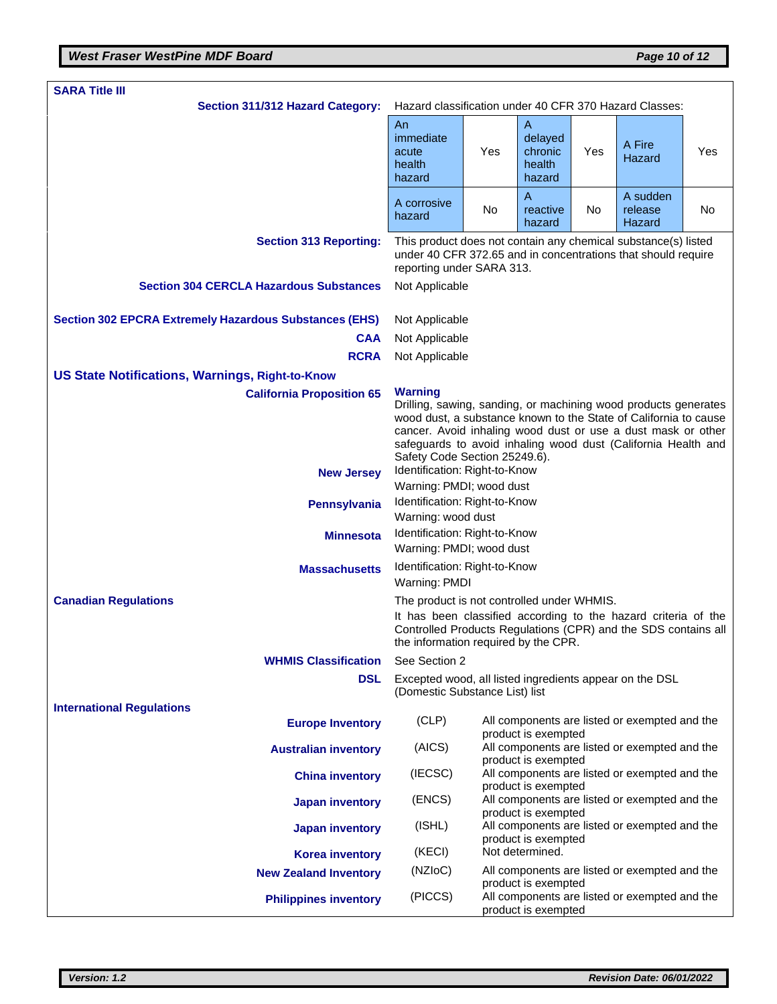| <b>SARA Title III</b>                                         |                                                                                                                                                                                                                                                                                                                         |     |                                             |     |                                               |           |
|---------------------------------------------------------------|-------------------------------------------------------------------------------------------------------------------------------------------------------------------------------------------------------------------------------------------------------------------------------------------------------------------------|-----|---------------------------------------------|-----|-----------------------------------------------|-----------|
| Section 311/312 Hazard Category:                              | Hazard classification under 40 CFR 370 Hazard Classes:                                                                                                                                                                                                                                                                  |     |                                             |     |                                               |           |
|                                                               | An<br>immediate<br>acute<br>health<br>hazard                                                                                                                                                                                                                                                                            | Yes | Α<br>delayed<br>chronic<br>health<br>hazard | Yes | A Fire<br>Hazard                              | Yes       |
|                                                               | A corrosive<br>hazard                                                                                                                                                                                                                                                                                                   | No  | $\overline{A}$<br>reactive<br>hazard        | No  | A sudden<br>release<br>Hazard                 | <b>No</b> |
| <b>Section 313 Reporting:</b>                                 | This product does not contain any chemical substance(s) listed<br>under 40 CFR 372.65 and in concentrations that should require<br>reporting under SARA 313.                                                                                                                                                            |     |                                             |     |                                               |           |
| <b>Section 304 CERCLA Hazardous Substances</b>                | Not Applicable                                                                                                                                                                                                                                                                                                          |     |                                             |     |                                               |           |
| <b>Section 302 EPCRA Extremely Hazardous Substances (EHS)</b> | Not Applicable                                                                                                                                                                                                                                                                                                          |     |                                             |     |                                               |           |
| <b>CAA</b>                                                    | Not Applicable                                                                                                                                                                                                                                                                                                          |     |                                             |     |                                               |           |
| <b>RCRA</b>                                                   | Not Applicable                                                                                                                                                                                                                                                                                                          |     |                                             |     |                                               |           |
| <b>US State Notifications, Warnings, Right-to-Know</b>        |                                                                                                                                                                                                                                                                                                                         |     |                                             |     |                                               |           |
| <b>California Proposition 65</b>                              | <b>Warning</b><br>Drilling, sawing, sanding, or machining wood products generates<br>wood dust, a substance known to the State of California to cause<br>cancer. Avoid inhaling wood dust or use a dust mask or other<br>safeguards to avoid inhaling wood dust (California Health and<br>Safety Code Section 25249.6). |     |                                             |     |                                               |           |
| <b>New Jersey</b>                                             | Identification: Right-to-Know<br>Warning: PMDI; wood dust                                                                                                                                                                                                                                                               |     |                                             |     |                                               |           |
| <b>Pennsylvania</b>                                           | Identification: Right-to-Know                                                                                                                                                                                                                                                                                           |     |                                             |     |                                               |           |
| <b>Minnesota</b>                                              | Warning: wood dust<br>Identification: Right-to-Know                                                                                                                                                                                                                                                                     |     |                                             |     |                                               |           |
|                                                               | Warning: PMDI; wood dust                                                                                                                                                                                                                                                                                                |     |                                             |     |                                               |           |
| <b>Massachusetts</b>                                          | Identification: Right-to-Know<br>Warning: PMDI                                                                                                                                                                                                                                                                          |     |                                             |     |                                               |           |
| <b>Canadian Regulations</b>                                   | The product is not controlled under WHMIS.                                                                                                                                                                                                                                                                              |     |                                             |     |                                               |           |
|                                                               | It has been classified according to the hazard criteria of the<br>Controlled Products Regulations (CPR) and the SDS contains all<br>the information required by the CPR.                                                                                                                                                |     |                                             |     |                                               |           |
| <b>WHMIS Classification</b>                                   | See Section 2                                                                                                                                                                                                                                                                                                           |     |                                             |     |                                               |           |
| <b>DSL</b>                                                    | Excepted wood, all listed ingredients appear on the DSL<br>(Domestic Substance List) list                                                                                                                                                                                                                               |     |                                             |     |                                               |           |
| <b>International Regulations</b><br><b>Europe Inventory</b>   | (CLP)                                                                                                                                                                                                                                                                                                                   |     | product is exempted                         |     | All components are listed or exempted and the |           |
| <b>Australian inventory</b>                                   | (AICS)                                                                                                                                                                                                                                                                                                                  |     |                                             |     | All components are listed or exempted and the |           |
| <b>China inventory</b>                                        | (IECSC)                                                                                                                                                                                                                                                                                                                 |     | product is exempted<br>product is exempted  |     | All components are listed or exempted and the |           |
| <b>Japan inventory</b>                                        | (ENCS)                                                                                                                                                                                                                                                                                                                  |     |                                             |     | All components are listed or exempted and the |           |
| <b>Japan inventory</b>                                        | (ISHL)                                                                                                                                                                                                                                                                                                                  |     | product is exempted<br>product is exempted  |     | All components are listed or exempted and the |           |
| <b>Korea inventory</b>                                        | (KECI)                                                                                                                                                                                                                                                                                                                  |     | Not determined.                             |     |                                               |           |
| <b>New Zealand Inventory</b>                                  | (NZIoC)                                                                                                                                                                                                                                                                                                                 |     |                                             |     | All components are listed or exempted and the |           |
| <b>Philippines inventory</b>                                  | (PICCS)                                                                                                                                                                                                                                                                                                                 |     | product is exempted<br>product is exempted  |     | All components are listed or exempted and the |           |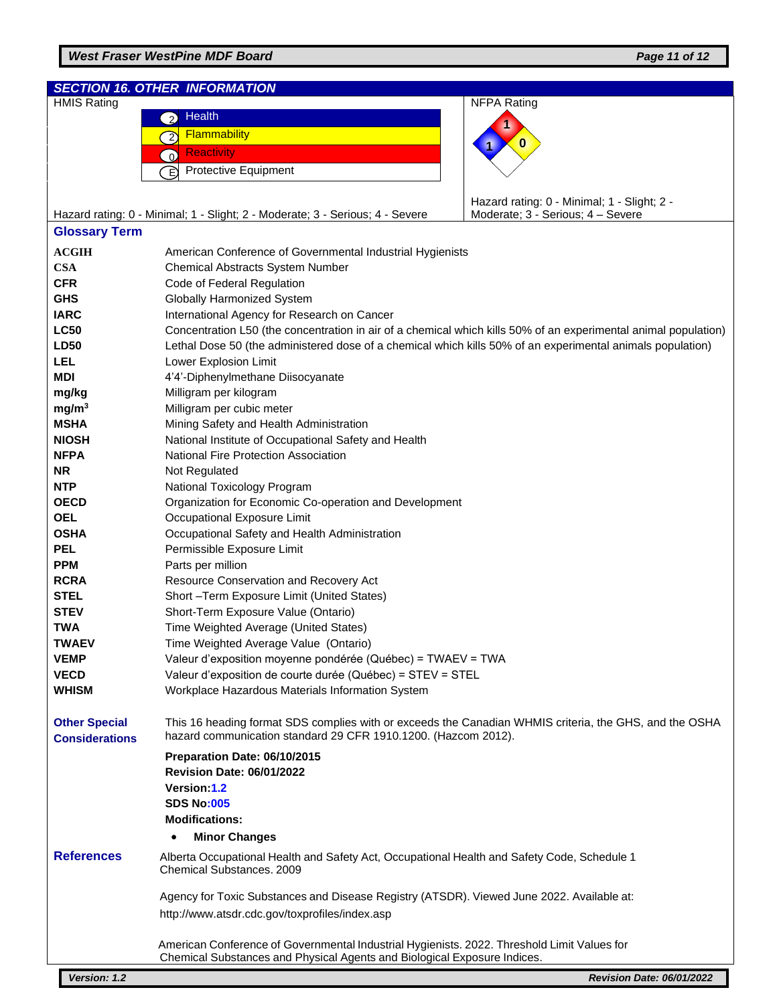## *West Fraser WestPine MDF Board Page 11 of 12*

|                                               | <b>SECTION 16. OTHER INFORMATION</b>                                                                                                                                     |                                             |  |  |  |
|-----------------------------------------------|--------------------------------------------------------------------------------------------------------------------------------------------------------------------------|---------------------------------------------|--|--|--|
| <b>HMIS Rating</b>                            |                                                                                                                                                                          | <b>NFPA Rating</b>                          |  |  |  |
|                                               | Health<br>$\overline{2}$                                                                                                                                                 |                                             |  |  |  |
|                                               | Flammability<br>$\overline{2}$                                                                                                                                           |                                             |  |  |  |
|                                               | <b>Reactivity</b><br>$\Omega$                                                                                                                                            | O                                           |  |  |  |
|                                               | <b>Protective Equipment</b><br>È,                                                                                                                                        |                                             |  |  |  |
|                                               |                                                                                                                                                                          |                                             |  |  |  |
|                                               |                                                                                                                                                                          | Hazard rating: 0 - Minimal; 1 - Slight; 2 - |  |  |  |
|                                               | Hazard rating: 0 - Minimal; 1 - Slight; 2 - Moderate; 3 - Serious; 4 - Severe                                                                                            | Moderate; 3 - Serious; 4 - Severe           |  |  |  |
| <b>Glossary Term</b>                          |                                                                                                                                                                          |                                             |  |  |  |
|                                               |                                                                                                                                                                          |                                             |  |  |  |
| <b>ACGIH</b>                                  | American Conference of Governmental Industrial Hygienists                                                                                                                |                                             |  |  |  |
| <b>CSA</b>                                    | Chemical Abstracts System Number                                                                                                                                         |                                             |  |  |  |
| <b>CFR</b>                                    | Code of Federal Regulation                                                                                                                                               |                                             |  |  |  |
| <b>GHS</b>                                    | Globally Harmonized System                                                                                                                                               |                                             |  |  |  |
| <b>IARC</b>                                   | International Agency for Research on Cancer                                                                                                                              |                                             |  |  |  |
| <b>LC50</b>                                   | Concentration L50 (the concentration in air of a chemical which kills 50% of an experimental animal population)                                                          |                                             |  |  |  |
| <b>LD50</b>                                   | Lethal Dose 50 (the administered dose of a chemical which kills 50% of an experimental animals population)                                                               |                                             |  |  |  |
| LEL                                           | Lower Explosion Limit                                                                                                                                                    |                                             |  |  |  |
| <b>MDI</b>                                    | 4'4'-Diphenylmethane Diisocyanate                                                                                                                                        |                                             |  |  |  |
| mg/kg                                         | Milligram per kilogram                                                                                                                                                   |                                             |  |  |  |
| mg/m <sup>3</sup>                             | Milligram per cubic meter                                                                                                                                                |                                             |  |  |  |
| <b>MSHA</b>                                   | Mining Safety and Health Administration                                                                                                                                  |                                             |  |  |  |
| <b>NIOSH</b>                                  | National Institute of Occupational Safety and Health                                                                                                                     |                                             |  |  |  |
| <b>NFPA</b>                                   | National Fire Protection Association                                                                                                                                     |                                             |  |  |  |
| <b>NR</b>                                     | Not Regulated                                                                                                                                                            |                                             |  |  |  |
| <b>NTP</b>                                    | National Toxicology Program                                                                                                                                              |                                             |  |  |  |
| <b>OECD</b>                                   | Organization for Economic Co-operation and Development                                                                                                                   |                                             |  |  |  |
| <b>OEL</b>                                    | Occupational Exposure Limit                                                                                                                                              |                                             |  |  |  |
| <b>OSHA</b>                                   | Occupational Safety and Health Administration                                                                                                                            |                                             |  |  |  |
| <b>PEL</b>                                    | Permissible Exposure Limit                                                                                                                                               |                                             |  |  |  |
| <b>PPM</b>                                    | Parts per million                                                                                                                                                        |                                             |  |  |  |
| <b>RCRA</b>                                   | Resource Conservation and Recovery Act                                                                                                                                   |                                             |  |  |  |
| <b>STEL</b>                                   | Short-Term Exposure Limit (United States)                                                                                                                                |                                             |  |  |  |
| <b>STEV</b>                                   | Short-Term Exposure Value (Ontario)                                                                                                                                      |                                             |  |  |  |
| <b>TWA</b>                                    | Time Weighted Average (United States)                                                                                                                                    |                                             |  |  |  |
| <b>TWAEV</b>                                  | Time Weighted Average Value (Ontario)                                                                                                                                    |                                             |  |  |  |
| <b>VEMP</b>                                   | Valeur d'exposition moyenne pondérée (Québec) = TWAEV = TWA                                                                                                              |                                             |  |  |  |
| <b>VECD</b>                                   | Valeur d'exposition de courte durée (Québec) = STEV = STEL                                                                                                               |                                             |  |  |  |
| <b>WHISM</b>                                  | Workplace Hazardous Materials Information System                                                                                                                         |                                             |  |  |  |
| <b>Other Special</b><br><b>Considerations</b> | This 16 heading format SDS complies with or exceeds the Canadian WHMIS criteria, the GHS, and the OSHA<br>hazard communication standard 29 CFR 1910.1200. (Hazcom 2012). |                                             |  |  |  |
|                                               | Preparation Date: 06/10/2015                                                                                                                                             |                                             |  |  |  |
|                                               | <b>Revision Date: 06/01/2022</b>                                                                                                                                         |                                             |  |  |  |
|                                               | Version:1.2                                                                                                                                                              |                                             |  |  |  |
|                                               | <b>SDS No:005</b>                                                                                                                                                        |                                             |  |  |  |
|                                               | <b>Modifications:</b>                                                                                                                                                    |                                             |  |  |  |
|                                               | <b>Minor Changes</b>                                                                                                                                                     |                                             |  |  |  |
| <b>References</b>                             | Alberta Occupational Health and Safety Act, Occupational Health and Safety Code, Schedule 1<br>Chemical Substances. 2009                                                 |                                             |  |  |  |
|                                               | Agency for Toxic Substances and Disease Registry (ATSDR). Viewed June 2022. Available at:                                                                                |                                             |  |  |  |
|                                               | http://www.atsdr.cdc.gov/toxprofiles/index.asp                                                                                                                           |                                             |  |  |  |
|                                               |                                                                                                                                                                          |                                             |  |  |  |
|                                               | American Conference of Governmental Industrial Hygienists. 2022. Threshold Limit Values for<br>Chemical Substances and Physical Agents and Biological Exposure Indices.  |                                             |  |  |  |